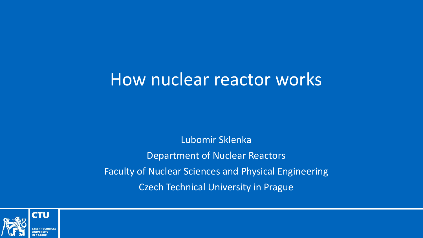# How nuclear reactor works

Lubomir Sklenka Department of Nuclear Reactors Faculty of Nuclear Sciences and Physical Engineering Czech Technical University in Prague

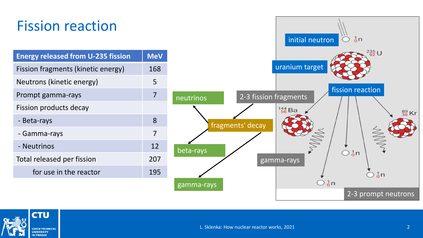## Fission reaction

| <b>Energy released from U-235 fission</b> | <b>MeV</b> |
|-------------------------------------------|------------|
| Fission fragments (kinetic energy)        | 168        |
| Neutrons (kinetic energy)                 | 5          |
| Prompt gamma-rays                         | 7          |
| Fission products decay                    |            |
| - Beta-rays                               | 8          |
| - Gamma-rays                              | 7          |
| - Neutrinos                               | 12         |
| Total released per fission                | 207        |
| for use in the reactor                    | 195        |
|                                           |            |



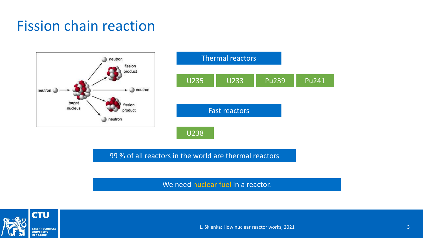



99 % of all reactors in the world are thermal reactors

We need nuclear fuel in a reactor.

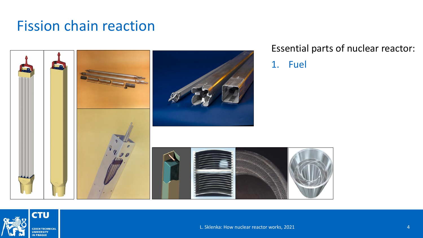

#### Essential parts of nuclear reactor:

1. Fuel

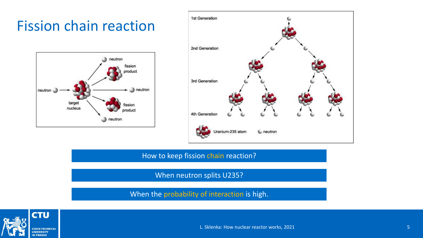



How to keep fission chain reaction?

When neutron splits U235?

When the probability of interaction is high.



L. Sklenka: How nuclear reactor works, 2021 5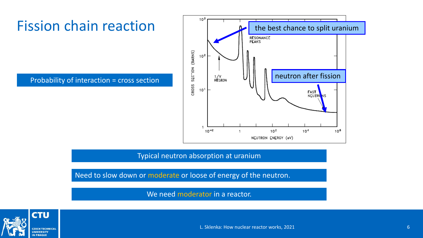Probability of interaction = cross section



Typical neutron absorption at uranium

Need to slow down or moderate or loose of energy of the neutron.

We need moderator in a reactor.



L. Sklenka: How nuclear reactor works, 2021 6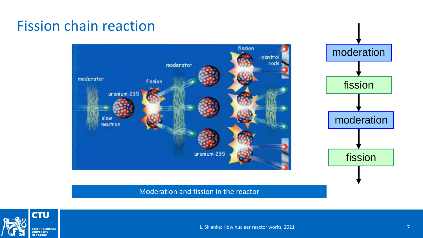

#### Moderation and fission in the reactor

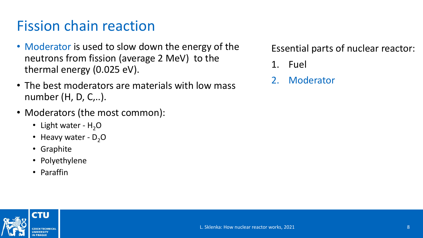- Moderator is used to slow down the energy of the neutrons from fission (average 2 MeV) to the thermal energy (0.025 eV).
- The best moderators are materials with low mass number (H, D, C,..).
- Moderators (the most common):
	- Light water  $H_2O$
	- Heavy water  $D_2O$
	- Graphite
	- Polyethylene
	- Paraffin

- 1. Fuel
- 2. Moderator

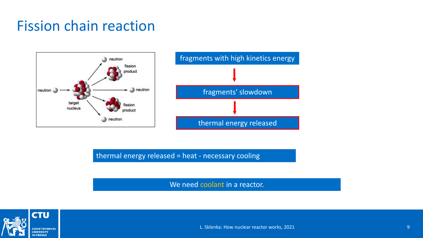

thermal energy released = heat - necessary cooling

We need coolant in a reactor.

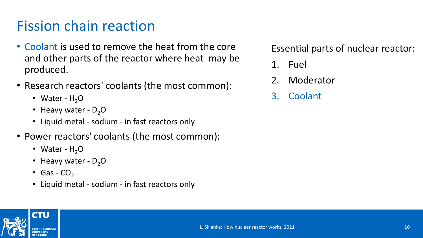- Coolant is used to remove the heat from the core and other parts of the reactor where heat may be produced.
- Research reactors' coolants (the most common):
	- Water  $H_2O$
	- Heavy water  $D_2O$
	- Liquid metal sodium in fast reactors only
- Power reactors' coolants (the most common):
	- Water  $H_2O$
	- Heavy water  $D_2O$
	- Gas  $CO<sub>2</sub>$
	- Liquid metal sodium in fast reactors only

- 1. Fuel
- 2. Moderator
- 3. Coolant

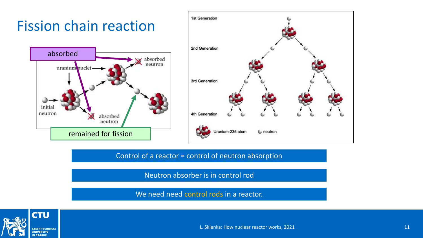



Control of a reactor = control of neutron absorption

Neutron absorber is in control rod

We need need control rods in a reactor.



L. Sklenka: How nuclear reactor works, 2021 11 12 12 13 14 14 15 16 17 17 18 18 19 19 10 11 11 11 11 11 11 11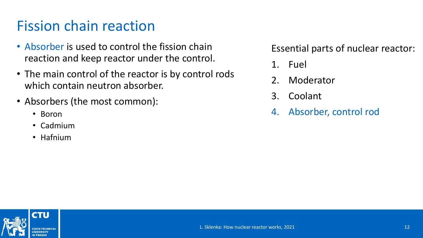- Absorber is used to control the fission chain reaction and keep reactor under the control.
- The main control of the reactor is by control rods which contain neutron absorber.
- Absorbers (the most common):
	- Boron
	- Cadmium
	- Hafnium

- 1. Fuel
- 2. Moderator
- 3. Coolant
- 4. Absorber, control rod

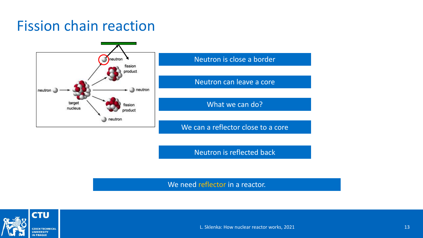

Neutron is reflected back

We need reflector in a reactor.

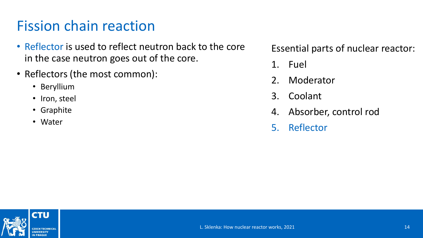- Reflector is used to reflect neutron back to the core in the case neutron goes out of the core.
- Reflectors (the most common):
	- Beryllium
	- Iron, steel
	- Graphite
	- Water

- 1. Fuel
- 2. Moderator
- 3. Coolant
- 4. Absorber, control rod
- 5. Reflector

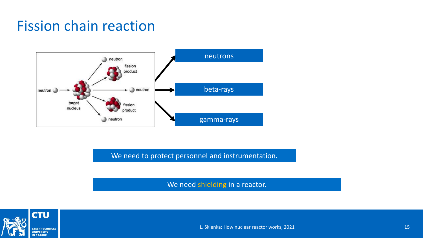

We need to protect personnel and instrumentation.

We need shielding in a reactor.

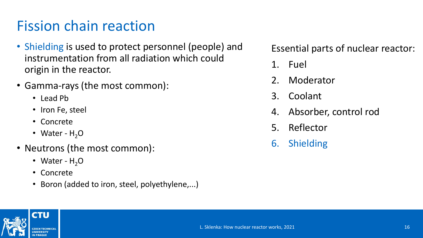- Shielding is used to protect personnel (people) and instrumentation from all radiation which could origin in the reactor.
- Gamma-rays (the most common):
	- Lead Pb
	- Iron Fe, steel
	- Concrete
	- Water  $H_2O$
- Neutrons (the most common):
	- Water  $H_2O$
	- Concrete
	- Boron (added to iron, steel, polyethylene,...)

- 1. Fuel
- 2. Moderator
- 3. Coolant
- 4. Absorber, control rod
- 5. Reflector
- 6. Shielding

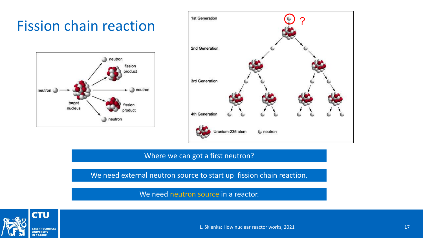



#### Where we can got a first neutron?

We need external neutron source to start up fission chain reaction.

We need neutron source in a reactor.

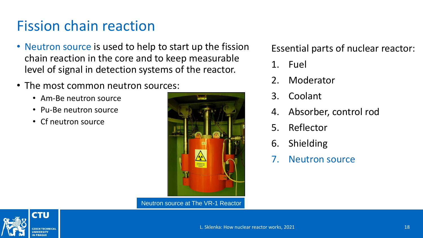- Neutron source is used to help to start up the fission chain reaction in the core and to keep measurable level of signal in detection systems of the reactor.
- The most common neutron sources:
	- Am-Be neutron source
	- Pu-Be neutron source
	- Cf neutron source



Neutron source at The VR-1 Reactor

- 1. Fuel
- 2. Moderator
- 3. Coolant
- 4. Absorber, control rod
- 5. Reflector
- 6. Shielding
- 7. Neutron source

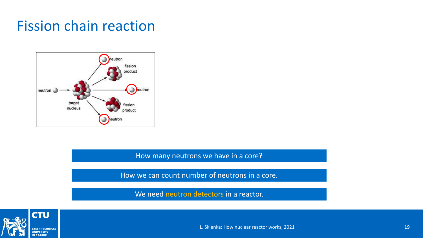

How many neutrons we have in a core?

How we can count number of neutrons in a core.

We need neutron detectors in a reactor.



L. Sklenka: How nuclear reactor works, 2021 19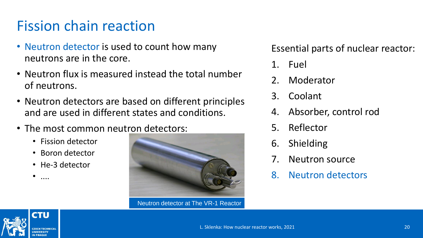- Neutron detector is used to count how many neutrons are in the core.
- Neutron flux is measured instead the total number of neutrons.
- Neutron detectors are based on different principles and are used in different states and conditions.
- The most common neutron detectors:
	- Fission detector
	- Boron detector
	- He-3 detector

• ....



Neutron detector at The VR-1 Reactor

- 1. Fuel
- 2. Moderator
- 3. Coolant
- 4. Absorber, control rod
- 5. Reflector
- 6. Shielding
- 7. Neutron source
- 8. Neutron detectors

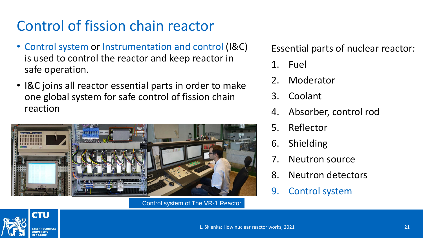# Control of fission chain reactor

- Control system or Instrumentation and control (I&C) is used to control the reactor and keep reactor in safe operation.
- I&C joins all reactor essential parts in order to make one global system for safe control of fission chain reaction



Control system of The VR-1 Reactor

- 1. Fuel
- 2. Moderator
- 3. Coolant
- 4. Absorber, control rod
- 5. Reflector
- 6. Shielding
- 7. Neutron source
- 8. Neutron detectors
- 9. Control system